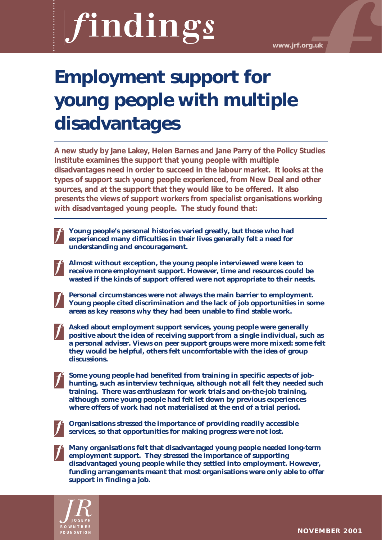**www.jrf.org.uk**

# **Employment support for young people with multiple disadvantages**

**A new study by Jane Lakey, Helen Barnes and Jane Parry of the Policy Studies Institute examines the support that young people with multiple disadvantages need in order to succeed in the labour market. It looks at the types of support such young people experienced, from New Deal and other sources, and at the support that they would like to be offered. It also presents the views of support workers from specialist organisations working with disadvantaged young people. The study found that:**

**Young people's personal histories varied greatly, but those who had experienced many difficulties in their lives generally felt a need for understanding and encouragement.**

**Almost without exception, the young people interviewed were keen to receive more employment support. However, time and resources could be wasted if the kinds of support offered were not appropriate to their needs.**

**Personal circumstances were not always the main barrier to employment. Young people cited discrimination and the lack of job opportunities in some areas as key reasons why they had been unable to find stable work.**

**Asked about employment support services, young people were generally positive about the idea of receiving support from a single individual, such as a personal adviser. Views on peer support groups were more mixed: some felt they would be helpful, others felt uncomfortable with the idea of group discussions.**

**Some young people had benefited from training in specific aspects of jobhunting, such as interview technique, although not all felt they needed such training. There was enthusiasm for work trials and on-the-job training, although some young people had felt let down by previous experiences where offers of work had not materialised at the end of a trial period.** 

**Organisations stressed the importance of providing readily accessible services, so that opportunities for making progress were not lost.**

**Many organisations felt that disadvantaged young people needed long-term employment support. They stressed the importance of supporting disadvantaged young people while they settled into employment. However, funding arrangements meant that most organisations were only able to offer support in finding a job.** 

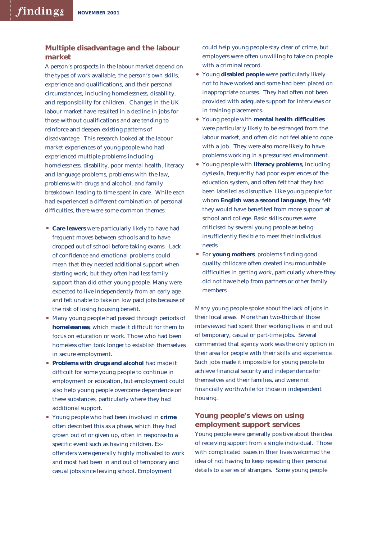## **Multiple disadvantage and the labour market**

A person's prospects in the labour market depend on the types of work available, the person's own skills, experience and qualifications, and their personal circumstances, including homelessness, disability, and responsibility for children. Changes in the UK labour market have resulted in a decline in jobs for those without qualifications and are tending to reinforce and deepen existing patterns of disadvantage. This research looked at the labour market experiences of young people who had experienced multiple problems including homelessness, disability, poor mental health, literacy and language problems, problems with the law, problems with drugs and alcohol, and family breakdown leading to time spent in care. While each had experienced a different combination of personal difficulties, there were some common themes:

- **Care leavers** were particularly likely to have had frequent moves between schools and to have dropped out of school before taking exams. Lack of confidence and emotional problems could mean that they needed additional support when starting work, but they often had less family support than did other young people. Many were expected to live independently from an early age and felt unable to take on low paid jobs because of the risk of losing housing benefit.
- Many young people had passed through periods of **homelessness**, which made it difficult for them to focus on education or work. Those who had been homeless often took longer to establish themselves in secure employment.
- **Problems with drugs and alcohol** had made it difficult for some young people to continue in employment or education, but employment could also help young people overcome dependence on these substances, particularly where they had additional support.
- Young people who had been involved in **crime** often described this as a phase, which they had grown out of or given up, often in response to a specific event such as having children. Exoffenders were generally highly motivated to work and most had been in and out of temporary and casual jobs since leaving school. Employment

could help young people stay clear of crime, but employers were often unwilling to take on people with a criminal record.

- Young **disabled people** were particularly likely not to have worked and some had been placed on inappropriate courses. They had often not been provided with adequate support for interviews or in training placements.
- Young people with **mental health difficulties** were particularly likely to be estranged from the labour market, and often did not feel able to cope with a job. They were also more likely to have problems working in a pressurised environment.
- Young people with **literacy problems**, including dyslexia, frequently had poor experiences of the education system, and often felt that they had been labelled as disruptive. Like young people for whom **English was a second language**, they felt they would have benefited from more support at school and college. Basic skills courses were criticised by several young people as being insufficiently flexible to meet their individual needs.
- For **young mothers**, problems finding good quality childcare often created insurmountable difficulties in getting work, particularly where they did not have help from partners or other family members.

Many young people spoke about the lack of jobs in their local areas. More than two-thirds of those interviewed had spent their working lives in and out of temporary, casual or part-time jobs. Several commented that agency work was the only option in their area for people with their skills and experience. Such jobs made it impossible for young people to achieve financial security and independence for themselves and their families, and were not financially worthwhile for those in independent housing.

# **Young people's views on using employment support services**

Young people were generally positive about the idea of receiving support from a single individual. Those with complicated issues in their lives welcomed the idea of not having to keep repeating their personal details to a series of strangers. Some young people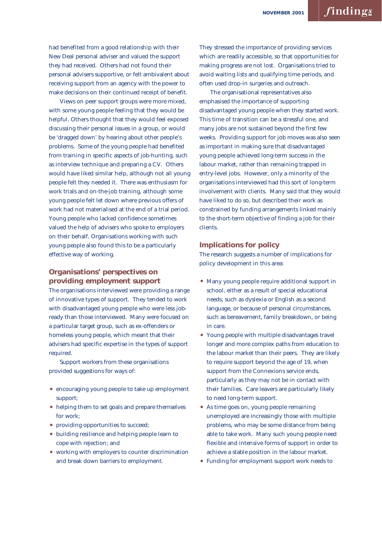had benefited from a good relationship with their New Deal personal adviser and valued the support they had received. Others had not found their personal advisers supportive, or felt ambivalent about receiving support from an agency with the power to make decisions on their continued receipt of benefit.

Views on peer support groups were more mixed, with some young people feeling that they would be helpful. Others thought that they would feel exposed discussing their personal issues in a group, or would be 'dragged down' by hearing about other people's problems. Some of the young people had benefited from training in specific aspects of job-hunting, such as interview technique and preparing a CV. Others would have liked similar help, although not all young people felt they needed it. There was enthusiasm for work trials and on-the-job training, although some young people felt let down where previous offers of work had not materialised at the end of a trial period. Young people who lacked confidence sometimes valued the help of advisers who spoke to employers on their behalf. Organisations working with such young people also found this to be a particularly effective way of working.

# **Organisations' perspectives on providing employment support**

The organisations interviewed were providing a range of innovative types of support. They tended to work with disadvantaged young people who were less jobready than those interviewed. Many were focused on a particular target group, such as ex-offenders or homeless young people, which meant that their advisers had specific expertise in the types of support required.

Support workers from these organisations provided suggestions for ways of:

- encouraging young people to take up employment support;
- helping them to set goals and prepare themselves for work;
- providing opportunities to succeed;
- building resilience and helping people learn to cope with rejection; and
- working with employers to counter discrimination and break down barriers to employment.

They stressed the importance of providing services which are readily accessible, so that opportunities for making progress are not lost. Organisations tried to avoid waiting lists and qualifying time periods, and often used drop-in surgeries and outreach.

The organisational representatives also emphasised the importance of supporting disadvantaged young people when they started work. This time of transition can be a stressful one, and many jobs are not sustained beyond the first few weeks. Providing support for job moves was also seen as important in making sure that disadvantaged young people achieved long-term success in the labour market, rather than remaining trapped in entry-level jobs. However, only a minority of the organisations interviewed had this sort of long-term involvement with clients. Many said that they would have liked to do so, but described their work as constrained by funding arrangements linked mainly to the short-term objective of finding a job for their clients.

#### **Implications for policy**

The research suggests a number of implications for policy development in this area:

- Many young people require additional support in school, either as a result of special educational needs, such as dyslexia or English as a second language, or because of personal circumstances, such as bereavement, family breakdown, or being in care.
- Young people with multiple disadvantages travel longer and more complex paths from education to the labour market than their peers. They are likely to require support beyond the age of 19, when support from the Connexions service ends, particularly as they may not be in contact with their families. Care leavers are particularly likely to need long-term support.
- As time goes on, young people remaining unemployed are increasingly those with multiple problems, who may be some distance from being able to take work. Many such young people need flexible and intensive forms of support in order to achieve a stable position in the labour market.
- Funding for employment support work needs to